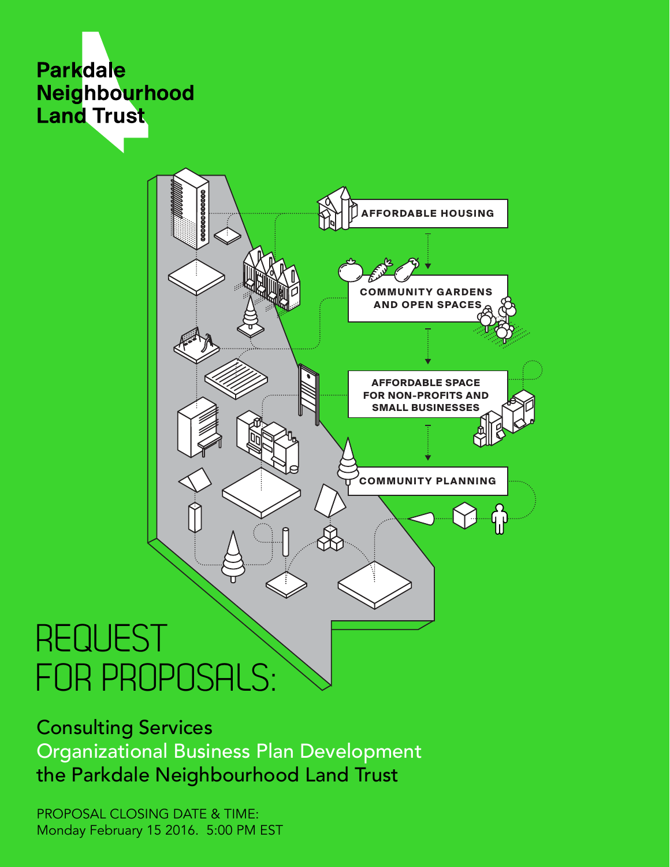



# REQUEST FOR PROPOSALS:

Consulting Services Organizational Business Plan Development the Parkdale Neighbourhood Land Trust

PROPOSAL CLOSING DATE & TIME: Monday February 15 2016. 5:00 PM EST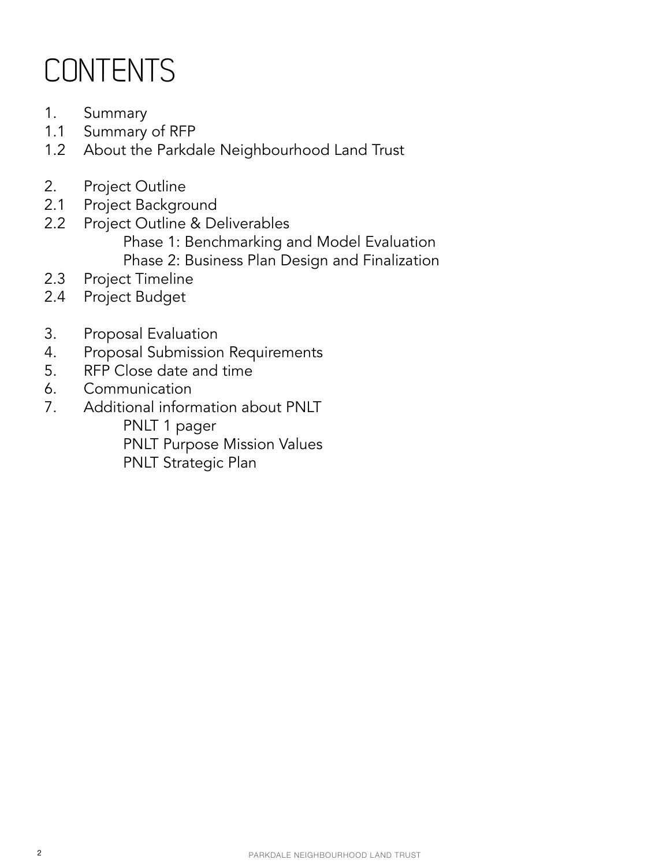## **CONTENTS**

- 1. Summary
- 1.1 Summary of RFP
- 1.2 About the Parkdale Neighbourhood Land Trust
- 2. Project Outline
- 2.1 Project Background
- 2.2 Project Outline & Deliverables Phase 1: Benchmarking and Model Evaluation Phase 2: Business Plan Design and Finalization
- 2.3 Project Timeline
- 2.4 Project Budget
- 3. Proposal Evaluation
- 4. Proposal Submission Requirements
- 5. RFP Close date and time
- 6. Communication
- 7. Additional information about PNLT PNLT 1 pager PNLT Purpose Mission Values PNLT Strategic Plan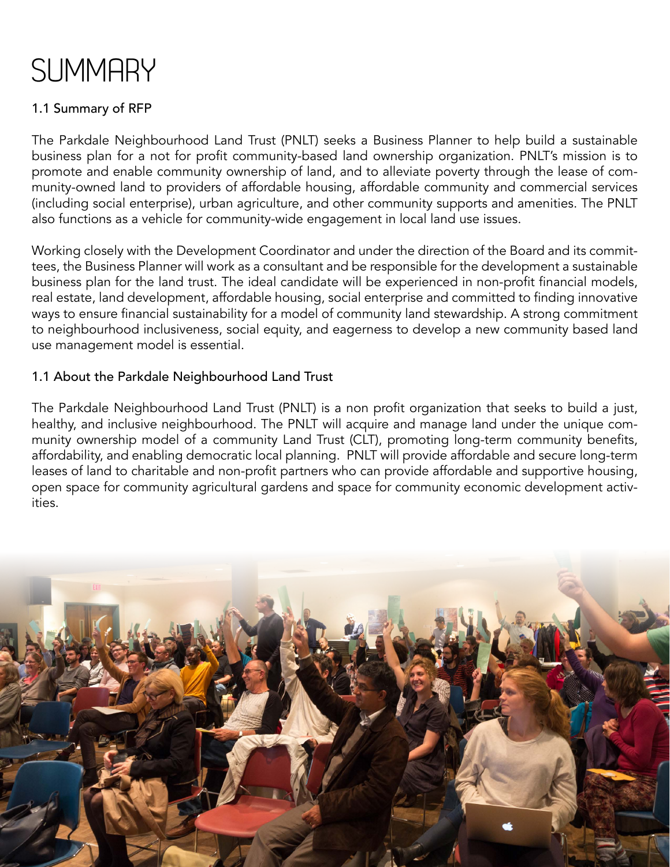## **SUMMARY**

## 1.1 Summary of RFP

The Parkdale Neighbourhood Land Trust (PNLT) seeks a Business Planner to help build a sustainable business plan for a not for profit community-based land ownership organization. PNLT's mission is to promote and enable community ownership of land, and to alleviate poverty through the lease of community-owned land to providers of affordable housing, affordable community and commercial services (including social enterprise), urban agriculture, and other community supports and amenities. The PNLT also functions as a vehicle for community-wide engagement in local land use issues.

Working closely with the Development Coordinator and under the direction of the Board and its committees, the Business Planner will work as a consultant and be responsible for the development a sustainable business plan for the land trust. The ideal candidate will be experienced in non-profit financial models, real estate, land development, affordable housing, social enterprise and committed to finding innovative ways to ensure financial sustainability for a model of community land stewardship. A strong commitment to neighbourhood inclusiveness, social equity, and eagerness to develop a new community based land use management model is essential.

#### 1.1 About the Parkdale Neighbourhood Land Trust

The Parkdale Neighbourhood Land Trust (PNLT) is a non profit organization that seeks to build a just, healthy, and inclusive neighbourhood. The PNLT will acquire and manage land under the unique community ownership model of a community Land Trust (CLT), promoting long-term community benefits, affordability, and enabling democratic local planning. PNLT will provide affordable and secure long-term leases of land to charitable and non-profit partners who can provide affordable and supportive housing, open space for community agricultural gardens and space for community economic development activities.

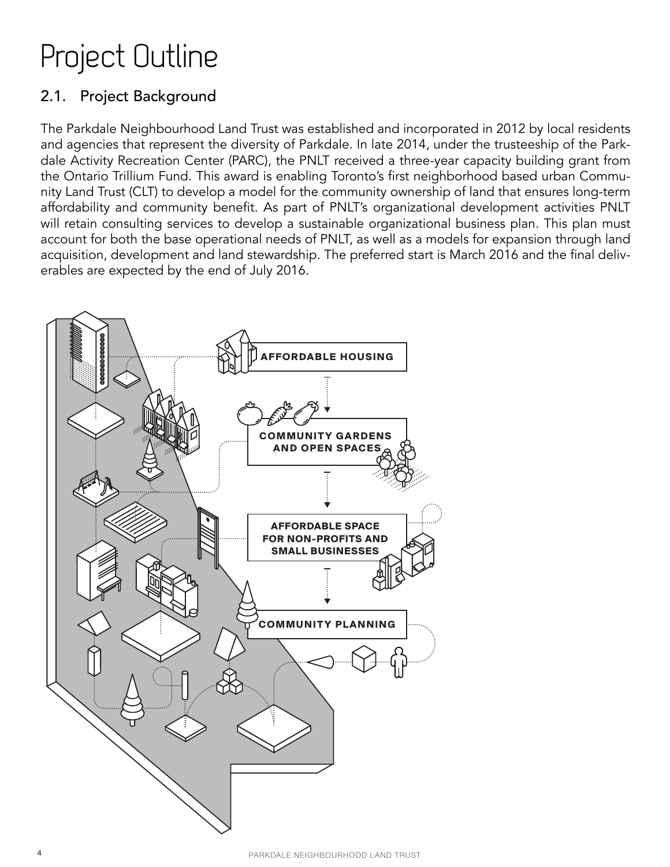## Project Outline

## 2.1. Project Background

The Parkdale Neighbourhood Land Trust was established and incorporated in 2012 by local residents and agencies that represent the diversity of Parkdale. In late 2014, under the trusteeship of the Parkdale Activity Recreation Center (PARC), the PNLT received a three-year capacity building grant from the Ontario Trillium Fund. This award is enabling Toronto's first neighborhood based urban Community Land Trust (CLT) to develop a model for the community ownership of land that ensures long-term affordability and community benefit. As part of PNLT's organizational development activities PNLT will retain consulting services to develop a sustainable organizational business plan. This plan must account for both the base operational needs of PNLT, as well as a models for expansion through land acquisition, development and land stewardship. The preferred start is March 2016 and the final deliverables are expected by the end of July 2016.

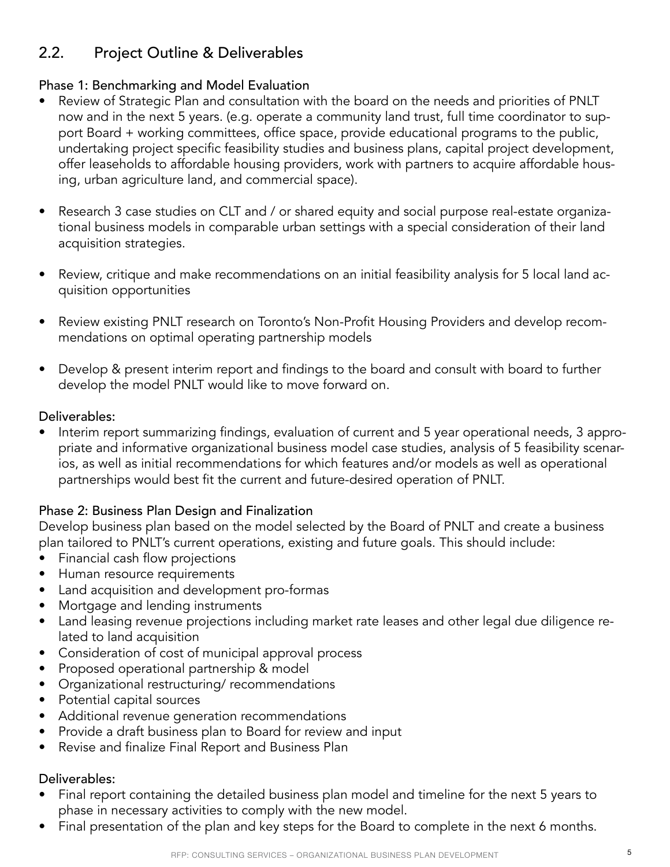## 2.2. Project Outline & Deliverables

#### Phase 1: Benchmarking and Model Evaluation

- Review of Strategic Plan and consultation with the board on the needs and priorities of PNLT now and in the next 5 years. (e.g. operate a community land trust, full time coordinator to support Board + working committees, office space, provide educational programs to the public, undertaking project specific feasibility studies and business plans, capital project development, offer leaseholds to affordable housing providers, work with partners to acquire affordable housing, urban agriculture land, and commercial space).
- Research 3 case studies on CLT and / or shared equity and social purpose real-estate organizational business models in comparable urban settings with a special consideration of their land acquisition strategies.
- Review, critique and make recommendations on an initial feasibility analysis for 5 local land acquisition opportunities
- Review existing PNLT research on Toronto's Non-Profit Housing Providers and develop recommendations on optimal operating partnership models
- Develop & present interim report and findings to the board and consult with board to further develop the model PNLT would like to move forward on.

#### Deliverables:

• Interim report summarizing findings, evaluation of current and 5 year operational needs, 3 appropriate and informative organizational business model case studies, analysis of 5 feasibility scenarios, as well as initial recommendations for which features and/or models as well as operational partnerships would best fit the current and future-desired operation of PNLT.

#### Phase 2: Business Plan Design and Finalization

Develop business plan based on the model selected by the Board of PNLT and create a business plan tailored to PNLT's current operations, existing and future goals. This should include:

- Financial cash flow projections
- Human resource requirements
- Land acquisition and development pro-formas
- Mortgage and lending instruments
- Land leasing revenue projections including market rate leases and other legal due diligence related to land acquisition
- Consideration of cost of municipal approval process
- Proposed operational partnership & model
- Organizational restructuring/ recommendations
- Potential capital sources
- Additional revenue generation recommendations
- Provide a draft business plan to Board for review and input
- Revise and finalize Final Report and Business Plan

#### Deliverables:

- Final report containing the detailed business plan model and timeline for the next 5 years to phase in necessary activities to comply with the new model.
- Final presentation of the plan and key steps for the Board to complete in the next 6 months.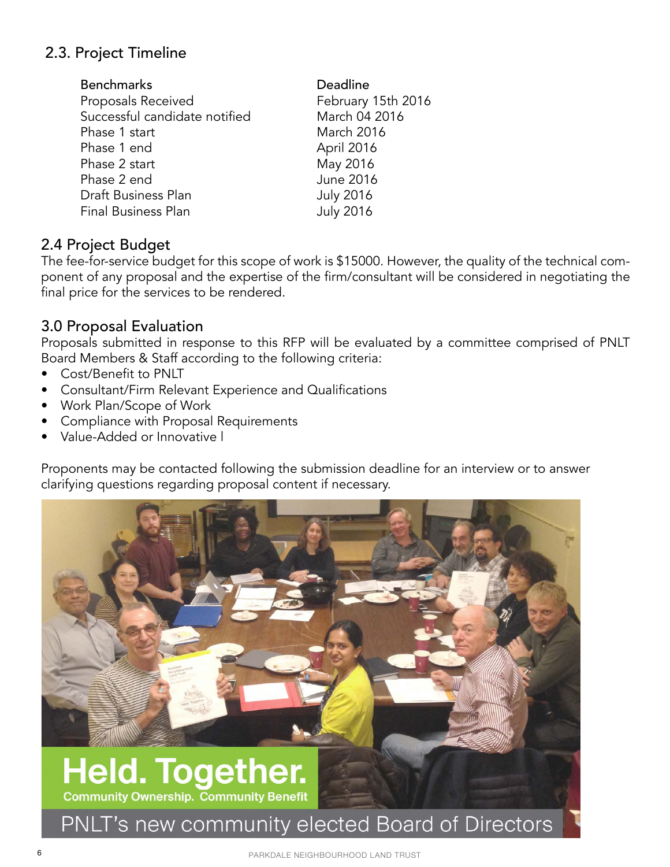## 2.3. Project Timeline

| Deadline           |
|--------------------|
| February 15th 2016 |
| March 04 2016      |
| March 2016         |
| April 2016         |
| May 2016           |
| <b>June 2016</b>   |
| <b>July 2016</b>   |
| <b>July 2016</b>   |
|                    |

## 2.4 Project Budget

The fee-for-service budget for this scope of work is \$15000. However, the quality of the technical component of any proposal and the expertise of the firm/consultant will be considered in negotiating the final price for the services to be rendered.

## 3.0 Proposal Evaluation

Proposals submitted in response to this RFP will be evaluated by a committee comprised of PNLT Board Members & Staff according to the following criteria:

- Cost/Benefit to PNLT
- Consultant/Firm Relevant Experience and Qualifications
- Work Plan/Scope of Work
- Compliance with Proposal Requirements
- Value-Added or Innovative l

Proponents may be contacted following the submission deadline for an interview or to answer clarifying questions regarding proposal content if necessary.

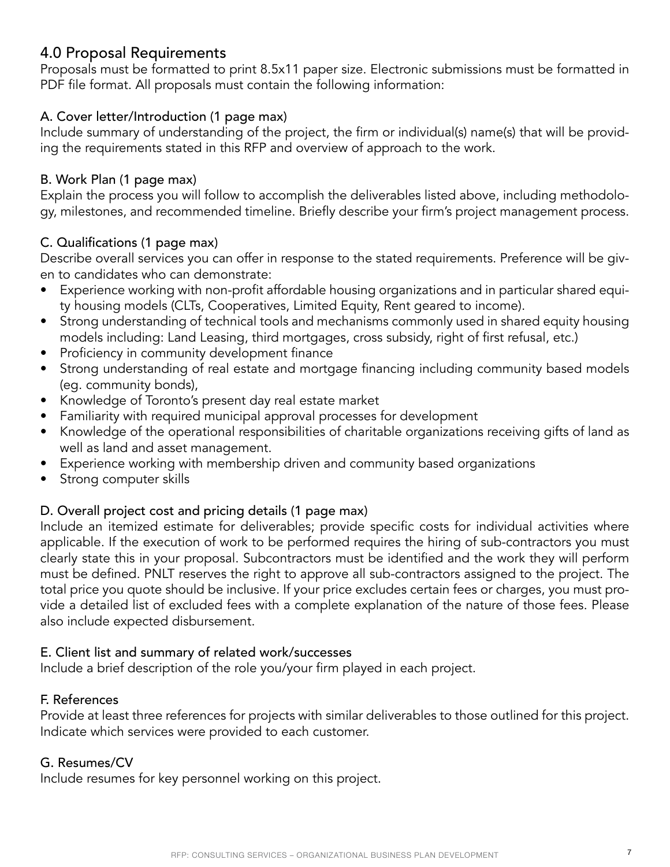## 4.0 Proposal Requirements

Proposals must be formatted to print 8.5x11 paper size. Electronic submissions must be formatted in PDF file format. All proposals must contain the following information:

#### A. Cover letter/Introduction (1 page max)

Include summary of understanding of the project, the firm or individual(s) name(s) that will be providing the requirements stated in this RFP and overview of approach to the work.

#### B. Work Plan (1 page max)

Explain the process you will follow to accomplish the deliverables listed above, including methodology, milestones, and recommended timeline. Briefly describe your firm's project management process.

#### C. Qualifications (1 page max)

Describe overall services you can offer in response to the stated requirements. Preference will be given to candidates who can demonstrate:

- Experience working with non-profit affordable housing organizations and in particular shared equity housing models (CLTs, Cooperatives, Limited Equity, Rent geared to income).
- Strong understanding of technical tools and mechanisms commonly used in shared equity housing models including: Land Leasing, third mortgages, cross subsidy, right of first refusal, etc.)
- Proficiency in community development finance
- Strong understanding of real estate and mortgage financing including community based models (eg. community bonds),
- Knowledge of Toronto's present day real estate market
- Familiarity with required municipal approval processes for development
- Knowledge of the operational responsibilities of charitable organizations receiving gifts of land as well as land and asset management.
- Experience working with membership driven and community based organizations
- Strong computer skills

#### D. Overall project cost and pricing details (1 page max)

Include an itemized estimate for deliverables; provide specific costs for individual activities where applicable. If the execution of work to be performed requires the hiring of sub-contractors you must clearly state this in your proposal. Subcontractors must be identified and the work they will perform must be defined. PNLT reserves the right to approve all sub-contractors assigned to the project. The total price you quote should be inclusive. If your price excludes certain fees or charges, you must provide a detailed list of excluded fees with a complete explanation of the nature of those fees. Please also include expected disbursement.

#### E. Client list and summary of related work/successes

Include a brief description of the role you/your firm played in each project.

#### F. References

Provide at least three references for projects with similar deliverables to those outlined for this project. Indicate which services were provided to each customer.

#### G. Resumes/CV

Include resumes for key personnel working on this project.